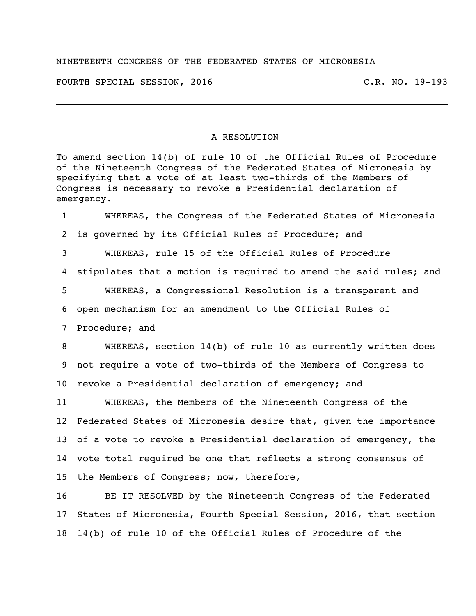## NINETEENTH CONGRESS OF THE FEDERATED STATES OF MICRONESIA

FOURTH SPECIAL SESSION, 2016 C.R. NO. 19-193

## A RESOLUTION

To amend section 14(b) of rule 10 of the Official Rules of Procedure of the Nineteenth Congress of the Federated States of Micronesia by specifying that a vote of at least two-thirds of the Members of Congress is necessary to revoke a Presidential declaration of emergency.

 WHEREAS, the Congress of the Federated States of Micronesia is governed by its Official Rules of Procedure; and WHEREAS, rule 15 of the Official Rules of Procedure stipulates that a motion is required to amend the said rules; and WHEREAS, a Congressional Resolution is a transparent and open mechanism for an amendment to the Official Rules of Procedure; and

 WHEREAS, section 14(b) of rule 10 as currently written does not require a vote of two-thirds of the Members of Congress to revoke a Presidential declaration of emergency; and

 WHEREAS, the Members of the Nineteenth Congress of the Federated States of Micronesia desire that, given the importance of a vote to revoke a Presidential declaration of emergency, the vote total required be one that reflects a strong consensus of the Members of Congress; now, therefore,

 BE IT RESOLVED by the Nineteenth Congress of the Federated States of Micronesia, Fourth Special Session, 2016, that section 14(b) of rule 10 of the Official Rules of Procedure of the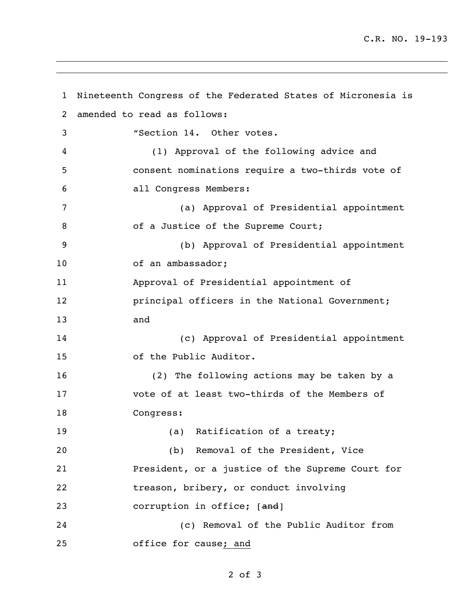C.R. NO. 19-193

```
1 Nineteenth Congress of the Federated States of Micronesia is 
2 amended to read as follows:
3 "Section 14. Other votes.
4 (1) Approval of the following advice and 
5 consent nominations require a two-thirds vote of 
6 all Congress Members:
7 (a) Approval of Presidential appointment 
8 of a Justice of the Supreme Court;
9 (b) Approval of Presidential appointment 
10 of an ambassador;
11 Approval of Presidential appointment of 
12 principal officers in the National Government;
13 and
14 (c) Approval of Presidential appointment 
15 of the Public Auditor.
16 (2) The following actions may be taken by a 
17 vote of at least two-thirds of the Members of 
18 Congress:
19 (a) Ratification of a treaty;
20 (b) Removal of the President, Vice 
21 President, or a justice of the Supreme Court for 
22 treason, bribery, or conduct involving 
23 corruption in office; [and]
24 (c) Removal of the Public Auditor from 
25 office for cause; and
```